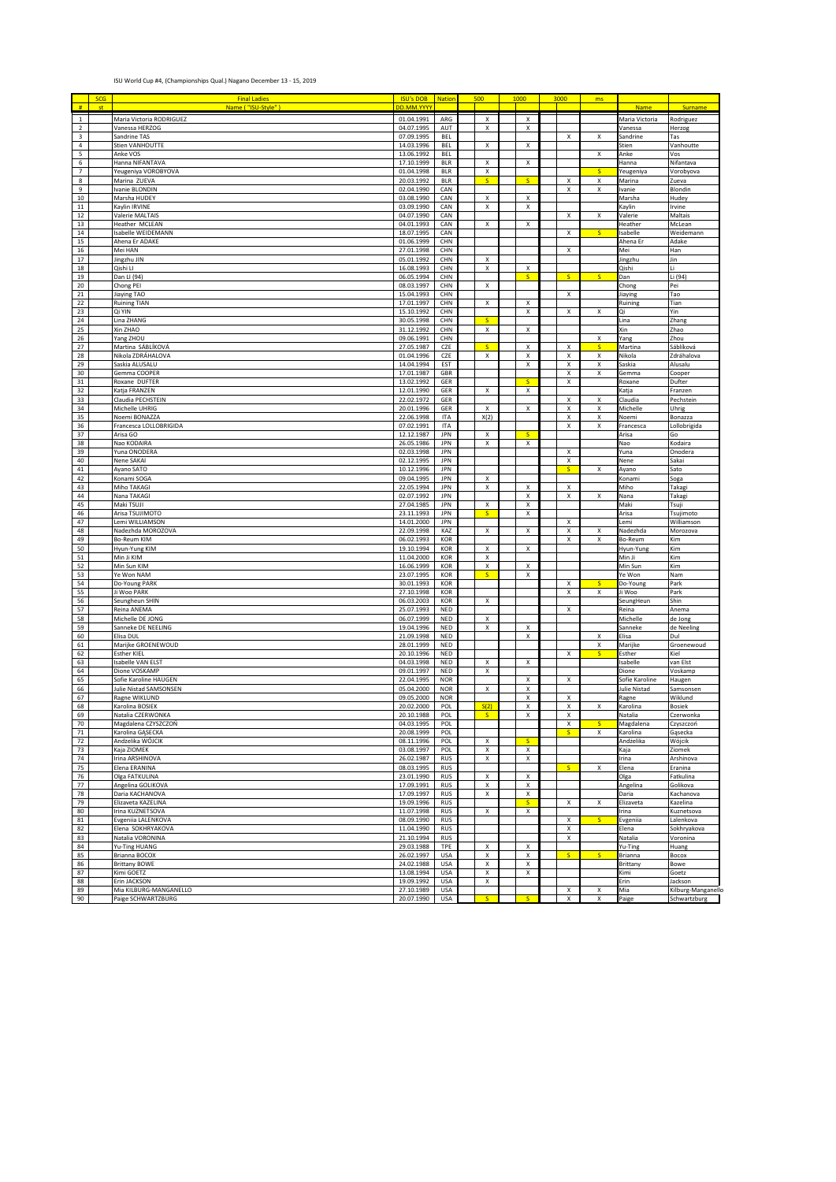## ISU World Cup #4, (Championships Qual.) Nagano December 13 - 15, 2019

| #                          | <b>SCG</b><br>st | <b>Final Ladies</b><br>Name ("ISU-Style"     | <b>ISU's DOB</b><br>DD.MM.YYY | <b>Nation</b>            | 500                     | 1000                        | 3000                    | ms                      | <b>Name</b>               | Surname                            |
|----------------------------|------------------|----------------------------------------------|-------------------------------|--------------------------|-------------------------|-----------------------------|-------------------------|-------------------------|---------------------------|------------------------------------|
|                            |                  | Maria Victoria RODRIGUEZ                     | 01.04.1991                    |                          |                         |                             |                         |                         |                           |                                    |
| $\,$ 1 $\,$<br>$\mathbf 2$ |                  | Vanessa HERZOG                               | 04.07.1995                    | ARG<br>AUT               | Χ<br>X                  | х<br>х                      |                         |                         | Maria Victoria<br>Vanessa | Rodriguez<br>Herzog                |
| 3                          |                  | Sandrine TAS                                 | 07.09.1995                    | BEL                      |                         |                             | X                       | X                       | Sandrine                  | Tas                                |
| $\sqrt{4}$                 |                  | Stien VANHOUTTE                              | 14.03.1996                    | BEL                      | X                       | $\mathsf X$                 |                         |                         | Stien                     | Vanhoutte                          |
| 5<br>6                     |                  | Anke VOS<br>Hanna NIFANTAVA                  | 13.06.1992<br>17.10.1999      | BEL<br><b>BLR</b>        | х                       | Х                           |                         | X                       | Anke<br>Hanna             | Vos<br>Nifantava                   |
| 7                          |                  | Yeugeniya VOROBYOVA                          | 01.04.1998                    | <b>BLR</b>               | х                       |                             |                         | S                       | Yeugeniya                 | Vorobyova                          |
| 8                          |                  | Marina ZUEVA                                 | 20.03.1992                    | <b>BLR</b>               | s                       | s                           | х                       | x                       | Marina                    | Zueva                              |
| 9<br>10                    |                  | Ivanie BLONDIN<br>Marsha HUDEY               | 02.04.1990<br>03.08.1990      | CAN<br>CAN               | X                       | X                           | x                       | х                       | Ivanie                    | Blondin                            |
| 11                         |                  | Kaylin IRVINE                                | 03.09.1990                    | CAN                      | X                       | X                           |                         |                         | Marsha<br>Kaylin          | Hudey<br>Irvine                    |
| 12                         |                  | Valerie MALTAIS                              | 04.07.1990                    | CAN                      |                         |                             | $\pmb{\mathsf{x}}$      | Χ                       | Valerie                   | Maltais                            |
| 13                         |                  | Heather MCLEAN<br>Isabelle WEIDEMANN         | 04.01.1993                    | CAN                      | $\pmb{\times}$          | $\mathsf X$                 |                         |                         | Heather                   | McLean                             |
| 14<br>15                   |                  | Ahena Er ADAKE                               | 18.07.1995<br>01.06.1999      | CAN<br>CHN               |                         |                             | X                       | s.                      | sabelle<br>Ahena Er       | Weidemann<br>Adake                 |
| 16                         |                  | Mei HAN                                      | 27.01.1998                    | CHN                      |                         |                             | Χ                       |                         | Mei                       | Han                                |
| $17\,$                     |                  | Jingzhu JIN                                  | 05.01.1992                    | CHN                      | X                       |                             |                         |                         | lingzhu                   | Jin                                |
| $18\,$<br>19               |                  | Qishi Ll<br>Dan LI (94)                      | 16.08.1993<br>06.05.1994      | CHN<br>CHN               | X                       | X<br>S.                     | S.                      | S.                      | Qishi<br>Dan              | Li<br>Li (94)                      |
| 20                         |                  | Chong PEI                                    | 08.03.1997                    | CHN                      | х                       |                             |                         |                         | Chong                     | Pei                                |
| 21                         |                  | Jiaying TAO                                  | 15.04.1993                    | CHN                      |                         |                             | X                       |                         | Jiaying                   | Tao                                |
| 22<br>23                   |                  | <b>Ruining TIAN</b><br>Qi YIN                | 17.01.1997<br>15.10.1992      | CHN<br>CHN               | х                       | X<br>$\mathsf X$            | Χ                       | X                       | Ruinine<br>Ωi             | Tian<br>Yin                        |
| 24                         |                  | Lina ZHANG                                   | 30.05.1998                    | CHN                      | $\overline{\mathsf{S}}$ |                             |                         |                         | Lina                      | Zhang                              |
| 25                         |                  | Xin ZHAO                                     | 31.12.1992                    | CHN                      | $\overline{\mathbf{x}}$ | $\mathsf X$                 |                         |                         | Xin                       | Zhao                               |
| 26<br>27                   |                  | Yang ZHOU<br>Martina SÁBLÍKOVÁ               | 09.06.1991<br>27.05.1987      | CHN<br>CZE               | $\mathsf{s}$            | х                           | Χ                       | Χ<br>s                  | Yang<br>Martina           | Zhou<br>Sáblíková                  |
| 28                         |                  | Nikola ZDRÁHALOVA                            | 01.04.1996                    | CZE                      | X                       | x                           | Χ                       | Χ                       | Nikola                    | Zdráhalova                         |
| 29                         |                  | Saskia ALUSALU                               | 14.04.1994                    | EST                      |                         | $\mathsf X$                 | Χ                       | Χ                       | Saskia                    | Alusalu                            |
| 30<br>$31\,$               |                  | Gemma COOPER<br>Roxane DUFTER                | 17.01.1987                    | GBR<br>GER               |                         | <b>S</b>                    | X<br>$\pmb{\mathsf{x}}$ | Χ                       | Gemma                     | Cooper                             |
| 32                         |                  | Katja FRANZEN                                | 13.02.1992<br>12.01.1990      | GER                      | X                       | х                           |                         |                         | Roxane<br>Katja           | Dufter<br>Franzen                  |
| 33                         |                  | Claudia PECHSTEIN                            | 22.02.1972                    | GER                      |                         |                             | x                       | X                       | Claudia                   | Pechstein                          |
| 34                         |                  | Michelle UHRIG                               | 20.01.1996                    | GER                      | X                       | X                           | X                       | X                       | Michelle                  | Uhrig                              |
| 35<br>36                   |                  | Noemi BONAZZA<br>Francesca LOLLOBRIGIDA      | 22.06.1998<br>07.02.1991      | <b>ITA</b><br>ITA        | X(2)                    |                             | X<br>X                  | X<br>X                  | Noemi<br>Francesca        | Bonazza<br>Lollobrigida            |
| 37                         |                  | Arisa GO                                     | 12.12.1987                    | JPN                      | $\pmb{\mathsf{x}}$      | $\overline{\mathsf{S}}$     |                         |                         | Arisa                     | Go                                 |
| 38                         |                  | Nao KODAIRA                                  | 26.05.1986                    | <b>JPN</b>               | X                       | $\mathsf X$                 |                         |                         | Nao                       | Kodaira                            |
| 39<br>40                   |                  | Yuna ONODERA<br>Nene SAKAI                   | 02.03.1998<br>02.12.1995      | <b>JPN</b><br><b>JPN</b> |                         |                             | X<br>$\pmb{\times}$     |                         | Yuna<br>Nene              | Onodera<br>Sakai                   |
| 41                         |                  | Ayano SATO                                   | 10.12.1996                    | JPN                      |                         |                             | $\mathsf S$             | Χ                       | Ayano                     | Sato                               |
| 42                         |                  | Konami SOGA                                  | 09.04.1995                    | JPN                      | X                       |                             |                         |                         | Konami                    | Soga                               |
| 43<br>$44\,$               |                  | Miho TAKAGI<br>Nana TAKAGI                   | 22.05.1994<br>02.07.1992      | JPN<br><b>JPN</b>        | х                       | х<br>Х                      | х<br>х                  | X                       | Miho<br>Nana              | Takagi<br>Takagi                   |
| 45                         |                  | Maki TSUJI                                   | 27.04.1985                    | <b>JPN</b>               | х                       | Х                           |                         |                         | Maki                      | Tsuji                              |
| 46                         |                  | Arisa TSUJIMOTO                              | 23.11.1993                    | <b>JPN</b>               | s                       | X                           |                         |                         | Arisa                     | Tsujimoto                          |
| 47                         |                  | Lemi WILLIAMSON                              | 14.01.2000                    | <b>JPN</b>               | X                       | X                           | Χ                       | X                       | Lemi                      | Williamson                         |
| 48<br>49                   |                  | Nadezhda MOROZOVA<br>Bo-Reum KIM             | 22.09.1998<br>06.02.1993      | KAZ<br>KOR               |                         |                             | X<br>X                  | X                       | Nadezhda<br>Bo-Reum       | Morozova<br>Kim                    |
| 50                         |                  | Hyun-Yung KIM                                | 19.10.1994                    | KOR                      | X                       | х                           |                         |                         | Hyun-Yung                 | Kim                                |
| 51                         |                  | Min Ji KIM                                   | 11.04.2000                    | KOR                      | X                       |                             |                         |                         | Min Ji                    | Kim                                |
| 52<br>53                   |                  | Min Sun KIM<br>Ye Won NAM                    | 16.06.1999<br>23.07.1995      | KOR<br>KOR               | X<br>s                  | Х<br>Х                      |                         |                         | Min Sun<br>Ye Won         | Kim<br>Nam                         |
| 54                         |                  | Do-Young PARK                                | 30.01.1993                    | KOR                      |                         |                             | Х                       | $\mathsf{s}$            | Do-Young                  | Park                               |
| 55                         |                  | Ji Woo PARK                                  | 27.10.1998                    | KOR                      |                         |                             | х                       | х                       | Ji Woo                    | Park                               |
| 56<br>57                   |                  | Seungheun SHIN<br>Reina ANEMA                | 06.03.2003<br>25.07.1993      | KOR<br>NED               | Х                       |                             | X                       |                         | SeungHeun<br>Reina        | Shin<br>Anema                      |
| 58                         |                  | Michelle DE JONG                             | 06.07.1999                    | NED                      | х                       |                             |                         |                         | Michelle                  | de Jong                            |
| 59                         |                  | Sanneke DE NEELING                           | 19.04.1996                    | NED                      | X                       | X                           |                         |                         | Sanneke                   | de Neeling                         |
| 60<br>61                   |                  | Elisa DUL<br>Marijke GROENEWOUD              | 21.09.1998<br>28.01.1999      | NED<br>NED               |                         | X                           |                         | X<br>X                  | Elisa<br>Marijke          | Dul<br>Groenewoud                  |
| 62                         |                  | <b>Esther KIEL</b>                           | 20.10.1996                    | NED                      |                         |                             | $\pmb{\mathsf{x}}$      | $\overline{\mathsf{S}}$ | Esther                    | Kiel                               |
| 63                         |                  | Isabelle VAN ELST                            | 04.03.1998                    | NED                      | Χ                       | х                           |                         |                         | sabelle                   | van Elst                           |
| 64<br>65                   |                  | Dione VOSKAMP<br>Sofie Karoline HAUGEN       | 09.01.1997<br>22.04.1995      | NED<br><b>NOR</b>        | Χ                       | Х                           | х                       |                         | Dione<br>Sofie Karoline   | Voskamp<br>Haugen                  |
| 66                         |                  | Julie Nistad SAMSONSEN                       | 05.04.2000                    | <b>NOR</b>               | Χ                       | X                           |                         |                         | Julie Nistad              | Samsonsen                          |
| 67                         |                  | Ragne WIKLUND                                | 09.05.2000                    | <b>NOR</b>               |                         | х                           | Χ                       |                         | Ragne                     | Wiklund                            |
| 68                         |                  | Karolina BOSIEK                              | 20.02.2000<br>20.10.1988      | POL                      | S(2)<br>$\mathsf{s}$    | Х                           | $\pmb{\times}$          | х                       | Karolina                  | Bosiek                             |
| 69<br>70                   |                  | Natalia CZERWONKA<br>Magdalena CZYSZCZOŃ     | 04.03.1995                    | POL<br>POL               |                         | х                           | x<br>X                  |                         | Natalia<br>Magdalena      | Czerwonka<br>Czyszczoń             |
| $71\,$                     |                  | Karolina GĄSECKA                             | 20.08.1999                    | POL                      |                         |                             | $\overline{\mathbf{s}}$ | x                       | Karolina                  | Gąsecka                            |
| 72                         |                  | Andżelika WÓJCIK                             | 08.11.1996                    | POL<br>POL               | X<br>X                  | $\mathsf{s}$<br>$\mathsf X$ |                         |                         | Andżelika                 | Wójcik                             |
| 73<br>$74\,$               |                  | Kaja ZIOMEK<br>Irina ARSHINOVA               | 03.08.1997<br>26.02.1987      | <b>RUS</b>               | $\pmb{\mathsf{x}}$      | $\pmb{\mathsf{x}}$          |                         |                         | Kaja<br>Irina             | Ziomek<br>Arshinova                |
| 75                         |                  | Elena ERANINA                                | 08.03.1995                    | <b>RUS</b>               |                         |                             | $\overline{\mathsf{s}}$ | X                       | Elena                     | Eranina                            |
| 76                         |                  | Olga FATKULINA                               | 23.01.1990                    | <b>RUS</b>               | Χ                       | х                           |                         |                         | Olga                      | Fatkulina                          |
| 77<br>78                   |                  | Angelina GOLIKOVA<br>Daria KACHANOVA         | 17.09.1991<br>17.09.1997      | <b>RUS</b><br><b>RUS</b> | х<br>X                  | x<br>X                      |                         |                         | Angelina<br>Daria         | Golikova<br>Kachanova              |
| 79                         |                  | Elizaveta KAZELINA                           | 19.09.1996                    | <b>RUS</b>               |                         | s.                          | X                       | х                       | Elizaveta                 | Kazelina                           |
| 80                         |                  | Irina KUZNETSOVA                             | 11.07.1998                    | <b>RUS</b>               | х                       | X                           |                         |                         | Irina                     | Kuznetsova                         |
| 81<br>82                   |                  | Evgeniia LALENKOVA<br>Elena SOKHRYAKOVA      | 08.09.1990<br>11.04.1990      | <b>RUS</b><br><b>RUS</b> |                         |                             | X<br>X                  | S                       | Evgeniia<br>Elena         | Lalenkova<br>Sokhryakova           |
| 83                         |                  | Natalia VORONINA                             | 21.10.1994                    | <b>RUS</b>               |                         |                             | х                       |                         | Natalia                   | Voronina                           |
| 84                         |                  | Yu-Ting HUANG                                | 29.03.1988                    | TPE                      | X                       | Х                           |                         |                         | Yu-Ting                   | Huang                              |
| 85<br>86                   |                  | Brianna BOCOX<br><b>Brittany BOWE</b>        | 26.02.1997<br>24.02.1988      | <b>USA</b><br><b>USA</b> | X<br>Χ                  | $\mathsf X$<br>$\mathsf X$  | $\overline{\mathsf{S}}$ | $\overline{\mathbf{s}}$ | Brianna<br>Brittany       | Bocox<br>Bowe                      |
| 87                         |                  | Kimi GOETZ                                   | 13.08.1994                    | <b>USA</b>               | $\pmb{\mathsf{x}}$      | $\mathsf X$                 |                         |                         | Kimi                      | Goetz                              |
| 88                         |                  | Erin JACKSON                                 | 19.09.1992                    | <b>USA</b>               | Χ                       |                             |                         |                         | Erin                      | Jackson                            |
| 89<br>90                   |                  | Mia KILBURG-MANGANELLO<br>Paige SCHWARTZBURG | 27.10.1989<br>20.07.1990      | <b>USA</b><br>USA        | $\overline{\mathsf{S}}$ | $\overline{\mathsf{S}}$     | X<br>X                  | Χ<br>X                  | Mia<br>Paige              | Kilburg-Manganello<br>Schwartzburg |
|                            |                  |                                              |                               |                          |                         |                             |                         |                         |                           |                                    |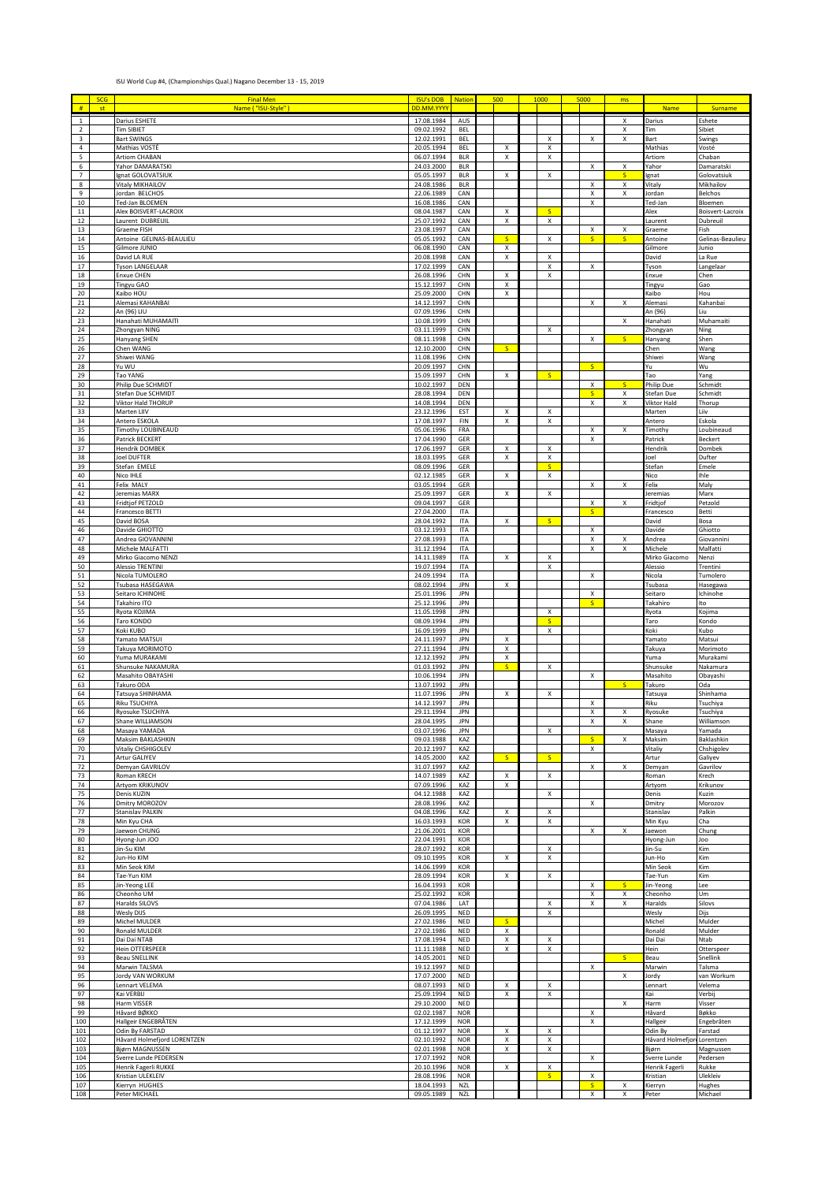## ISU World Cup #4, (Championships Qual.) Nagano December 13 - 15, 2019

|                                           | <b>SCG</b> | <b>Final Men</b>                              | <b>ISU's DOB</b>         | <b>Nation</b>            | 500                           | 1000                         | 5000                      | ms     |                                |                              |
|-------------------------------------------|------------|-----------------------------------------------|--------------------------|--------------------------|-------------------------------|------------------------------|---------------------------|--------|--------------------------------|------------------------------|
| #                                         |            | Name ("ISU-Style")                            | DD.MM.YYY                |                          |                               |                              |                           |        | Name                           | <b>Surname</b>               |
| $\mathbf 1$                               |            | Darius ESHETE                                 | 17.08.1984               | AUS                      |                               |                              |                           | x      | Darius                         | Eshete                       |
| $\overline{2}$<br>$\overline{\mathbf{3}}$ |            | <b>Tim SIBIET</b><br><b>Bart SWINGS</b>       | 09.02.1992<br>12.02.1991 | <b>BEL</b><br><b>BEL</b> |                               | x                            | X                         | x<br>x | Tim<br>Bart                    | Sibiet<br>Swings             |
| $\overline{4}$                            |            | Mathias VOSTÉ                                 | 20.05.1994               | <b>BEL</b>               | х                             | х                            |                           |        | Mathias                        | Vosté                        |
| 5                                         |            | <b>Artiom CHABAN</b>                          | 06.07.1994               | <b>BLR</b>               | х                             | x                            |                           |        | Artiom                         | Chaban                       |
| 6                                         |            | Yahor DAMARATSK                               | 24.03.2000               | <b>BLR</b>               |                               |                              | X                         | x      | ahor                           | Damaratski                   |
| $\overline{7}$<br>8                       |            | Ignat GOLOVATSIUK<br>Vitaly MIKHAILOV         | 05.05.1997<br>24.08.1986 | <b>BLR</b><br><b>BLR</b> | $\pmb{\chi}$                  | X                            | x                         | S<br>x | gnat<br>Vitaly                 | Golovatsiuk<br>Mikhailov     |
| 9                                         |            | Jordan BELCHOS                                | 22.06.1989               | CAN                      |                               |                              | X                         | x      | lordan                         | Belchos                      |
| 10                                        |            | Ted-Jan BLOEMEN                               | 16.08.1986               | CAN                      |                               |                              | x                         |        | Ted-Jan                        | Bloemen                      |
| $11\,$<br>$12\,$                          |            | Alex BOISVERT-LACROIX<br>Laurent DUBREUIL     | 08.04.1987<br>25.07.1992 | CAN<br>CAN               | Х<br>X                        | $\overline{\mathbf{s}}$<br>X |                           |        | Alex<br>Laurent                | Boisvert-Lacroix<br>Dubreuil |
| 13                                        |            | Graeme FISH                                   | 23.08.1997               | CAN                      |                               |                              | $\pmb{\times}$            | x      | Graeme                         | Fish                         |
| 14                                        |            | Antoine GELINAS-BEAULIEU                      | 05.05.1992               | CAN                      | $\mathsf{S}$                  | X                            | $\overline{\mathsf{S}}$   | s.     | Antoine                        | Gelinas-Beaulieu             |
| 15<br>16                                  |            | Gilmore JUNIO<br>David LA RUE                 | 06.08.1990<br>20.08.1998 | CAN<br>CAN               | $\pmb{\times}$<br>x           |                              |                           |        | Gilmore<br>David               | Junio<br>La Rue              |
| $17\,$                                    |            | Tyson LANGELAAR                               | 17.02.1999               | CAN                      |                               | х<br>х                       | х                         |        | Tyson                          | Langelaar                    |
| $18\,$                                    |            | <b>Enxue CHEN</b>                             | 26.08.1996               | CHN                      | $\pmb{\times}$                | X                            |                           |        | Enxue                          | Chen                         |
| $19\,$                                    |            | Tingyu GAO                                    | 15.12.1997               | CHN                      | х                             |                              |                           |        | Tingyu                         | Gao                          |
| 20<br>21                                  |            | Kaibo HOU<br>Alemasi KAHANBAI                 | 25.09.2000<br>14.12.1997 | CHN<br>CHN               | х                             |                              | X                         | x      | Kaibo<br>Alemasi               | Hou<br>Kahanbai              |
| 22                                        |            | An (96) LIU                                   | 07.09.1996               | CHN                      |                               |                              |                           |        | An (96)                        | Liu                          |
| 23                                        |            | Hanahati MUHAMAITI                            | 10.08.1999               | CHN                      |                               |                              |                           | x      | Hanahat                        | Muhamaiti                    |
| ${\bf 24}$<br>25                          |            | Zhongyan NING<br>Hanyang SHEN                 | 03.11.1999<br>08.11.1998 | CHN<br>CHN               |                               | X                            | X                         | S      | Zhongyan<br>Hanyang            | Ning<br>Shen                 |
| 26                                        |            | Chen WANG                                     | 12.10.2000               | CHN                      | $\mathsf{S}$                  |                              |                           |        | Chen                           | Wang                         |
| 27                                        |            | Shiwei WANG                                   | 11.08.1996               | CHN                      |                               |                              |                           |        | Shiwei                         | Wang                         |
| 28                                        |            | Yu WU                                         | 20.09.1997               | CHN                      |                               |                              | S.                        |        | Yu                             | Wu                           |
| 29<br>30                                  |            | Tao YANG<br>Philip Due SCHMIDT                | 15.09.1997<br>10.02.1997 | CHN<br>DEN               | х                             | <sub>S</sub>                 | x                         | s.     | Tao<br>Philip Due              | Yang<br>Schmidt              |
| $31\,$                                    |            | Stefan Due SCHMIDT                            | 28.08.1994               | DEN                      |                               |                              | $\mathsf{S}$              | x      | Stefan Due                     | Schmidt                      |
| 32                                        |            | Viktor Hald THORUP                            | 14.08.1994               | DEN                      |                               |                              | x                         | x      | Viktor Hald                    | Thorup                       |
| 33<br>34                                  |            | Marten LIIV<br>Antero ESKOLA                  | 23.12.1996<br>17.08.1997 | <b>EST</b><br>FIN        | х<br>X                        | X<br>$\mathsf X$             |                           |        | Marten<br>Antero               | Liiv<br>Eskola               |
| 35                                        |            | Timothy LOUBINEAUD                            | 05.06.1996               | FRA                      |                               |                              | x                         | X      | Timothy                        | Loubineaud                   |
| 36                                        |            | Patrick BECKERT                               | 17.04.1990               | GER                      |                               |                              | x                         |        | Patrick                        | Beckert                      |
| 37<br>38                                  |            | Hendrik DOMBEK<br><b>Joel DUFTER</b>          | 17.06.1997<br>18.03.1995 | GER<br>GER               | $\pmb{\times}$<br>$\mathsf X$ | X<br>$\mathsf X$             |                           |        | Hendrik<br>Joel                | Dombel<br>Dufter             |
| 39                                        |            | Stefan EMELE                                  | 08.09.1996               | GER                      |                               | $\overline{\mathsf{S}}$      |                           |        | Stefan                         | Emele                        |
| 40                                        |            | Nico IHLE                                     | 02.12.1985               | GER                      | X                             | X                            |                           |        | Nico                           | Ihle                         |
| 41                                        |            | Felix MALY                                    | 03.05.1994<br>25.09.1997 | GER                      |                               |                              | х                         | X      | Felix                          | Maly                         |
| 42<br>43                                  |            | Jeremias MARX<br>Fridtjof PETZOLD             | 09.04.1997               | GER<br>GER               | $\mathsf X$                   | X                            | X                         | x      | Jeremias<br>Fridtjof           | Marx<br>Petzold              |
| 44                                        |            | Francesco BETTI                               | 27.04.2000               | ITA                      |                               |                              | $\mathsf{S}$              |        | Francesco                      | Betti                        |
| 45                                        |            | David BOSA                                    | 28.04.1992               | ITA                      | х                             | $\mathsf{s}$                 |                           |        | David                          | Bosa                         |
| 46<br>47                                  |            | Davide GHIOTTO<br>Andrea GIOVANNINI           | 03.12.1993<br>27.08.1993 | <b>ITA</b><br>ITA        |                               |                              | Χ<br>х                    | X      | Davide<br>Andrea               | Ghiotto<br>Giovannini        |
| 48                                        |            | Michele MALFATTI                              | 31.12.1994               | ITA                      |                               |                              | x                         | x      | Michele                        | Malfatti                     |
| 49                                        |            | Mirko Giacomo NENZI                           | 14.11.1989               | <b>ITA</b>               | $\mathsf{x}$                  | X                            |                           |        | Mirko Giacomo                  | Nenzi                        |
| 50<br>51                                  |            | <b>Alessio TRENTINI</b><br>Nicola TUMOLERO    | 19.07.1994<br>24.09.1994 | <b>ITA</b><br>ITA        |                               | Χ                            | X                         |        | Alessio<br>Nicola              | Trentini<br>Tumolero         |
|                                           |            | Tsubasa HASEGAWA                              | 08.02.1994               | <b>JPN</b>               | х                             |                              |                           |        | Tsubasa                        | Hasegawa                     |
| 52                                        |            |                                               |                          |                          |                               |                              |                           |        |                                |                              |
| 53                                        |            | Seitaro ICHINOHE                              | 25.01.1996               | <b>JPN</b>               |                               |                              | x                         |        | Seitaro                        | Ichinohe                     |
| 54                                        |            | Takahiro ITO                                  | 25.12.1996               | <b>JPN</b>               |                               |                              | $\mathsf{s}$              |        | Takahiro                       | Ito                          |
| 55<br>56                                  |            | Ryota KOJIMA<br>Taro KONDO                    | 11.05.1998<br>08.09.1994 | <b>JPN</b><br>JPN        |                               | X<br>$\overline{\mathbf{s}}$ |                           |        | Ryota<br>Taro                  | Kojima<br>Kondo              |
| 57                                        |            | Koki KUBO                                     | 16.09.1999               | <b>JPN</b>               |                               | $\pmb{\mathsf{x}}$           |                           |        | Koki                           | Kubo                         |
| 58                                        |            | Vamato MATSUI                                 | 24.11.1997               | <b>JPN</b>               | x                             |                              |                           |        | Yamato                         | Matsui                       |
| 59<br>60                                  |            | Takuya MORIMOTO<br>Yuma MURAKAMI              | 27.11.1994<br>12.12.1992 | <b>JPN</b><br>JPN        | X<br>$\mathsf X$              |                              |                           |        | Takuya<br>Yuma                 | Morimoto<br>Murakam          |
| 61                                        |            | Shunsuke NAKAMURA                             | 01.03.1992               | <b>JPN</b>               | S.                            | X                            |                           |        | Shunsuke                       | Nakamura                     |
| 62                                        |            | Masahito OBAYASHI                             | 10.06.1994               | JPN                      |                               |                              | $\boldsymbol{\mathsf{x}}$ |        | Masahito                       | Obayashi                     |
| 63                                        |            | Takuro ODA                                    | 13.07.1992               | <b>JPN</b><br><b>JPN</b> |                               |                              |                           | s.     | Takuro                         | Oda<br>Shinhama              |
| 64<br>65                                  |            | Tatsuya SHINHAMA<br>Riku TSUCHIYA             | 11.07.1996<br>14.12.1997 | <b>JPN</b>               | х                             | x                            | X                         |        | Tatsuya<br>Riku                | Tsuchiya                     |
| 66                                        |            | Ryosuke TSUCHIYA                              | 29.11.1994               | JPN                      |                               |                              | x                         | X      | Ryosuke                        | Tsuchiya                     |
| 67                                        |            | Shane WILLIAMSON                              | 28.04.1995               | <b>JPN</b>               |                               |                              |                           | x      | Shane                          | Williamsor                   |
| 68<br>69                                  |            | Masaya YAMADA<br>Maksim BAKLASHKIN            | 03.07.1996<br>09.03.1988 | JPN<br>KAZ               |                               | X                            | $\mathsf{s}$              | x      | Masaya<br>Maksim               | Yamada<br>Baklashkin         |
| 70                                        |            | Vitaliy CHSHIGOLEV                            | 20.12.1997               | KAZ                      |                               |                              | X                         |        | Vitaliy                        | Chshigolev                   |
| $71\,$                                    |            | Artur GALIYEV                                 | 14.05.2000<br>31.07.1997 | KAZ                      | $\mathsf{s}$                  | $\mathsf{s}$                 |                           |        | Artur                          | Galiyev                      |
| 72<br>73                                  |            | Demyan GAVRILOV<br>Roman KRECH                | 14.07.1989               | KAZ<br>KAZ               | х                             | x                            | x                         | X      | Demyan<br>Roman                | Gavrilov<br>Krech            |
| 74                                        |            | Artyom KRIKUNOV                               | 07.09.1996               | KAZ                      | $\pmb{\chi}$                  |                              |                           |        | Artyom                         | Krikunov                     |
| 75                                        |            | Denis KUZIN                                   | 04.12.1988               | KAZ                      |                               | x                            |                           |        | Denis                          | Kuzin                        |
| 76<br>$77\,$                              |            | Dmitry MOROZOV<br>Stanislav PALKIN            | 28.08.1996<br>04.08.1996 | KAZ<br>KAZ               | X                             | X                            | x                         |        | Dmitry<br>Stanislav            | Morozov<br>Palkin            |
| 78                                        |            | Min Kyu CHA                                   | 16.03.1993               | KOR                      | х                             | x                            |                           |        | Min Kyu                        | Cha                          |
| 79                                        |            | Jaewon CHUNG                                  | 21.06.2001               | KOR                      |                               |                              | х                         | x      | Jaewon                         | Chung                        |
| 80<br>$\bf 81$                            |            | Hyong-Jun JOO<br>Jin-Su KIM                   | 22.04.1991<br>28.07.1992 | KOR<br>KOR               |                               | x                            |                           |        | Hyong-Jun<br>Jin-Su            | Joo<br>Kim                   |
| 82                                        |            | Jun-Ho KIM                                    | 09.10.1995               | KOR                      | х                             | x                            |                           |        | Jun-Ho                         | Kim                          |
| 83                                        |            | Min Seok KIM                                  | 14.06.1999               | <b>KOR</b>               |                               |                              |                           |        | Min Seok                       | Kim                          |
| 84<br>85                                  |            | Tae-Yun KIM<br>Jin-Yeong LEE                  | 28.09.1994<br>16.04.1993 | KOR<br>KOR               | х                             | x                            | x                         | S.     | Tae-Yun<br>Jin-Yeong           | Kim<br>Lee                   |
| 86                                        |            | Cheonho UM                                    | 25.02.1992               | KOR                      |                               |                              | x                         | X      | Cheonho                        | Um                           |
| 87                                        |            | Haralds SILOVS                                | 07.04.1986               | LAT                      |                               | X                            | X                         | x      | Haralds                        | Silovs                       |
| 88<br>89                                  |            | Wesly DIJS<br>Michel MULDER                   | 26.09.1995<br>27.02.1986 | <b>NED</b><br><b>NED</b> | S                             | X                            |                           |        | Wesly<br>Michel                | Dijs<br>Mulder               |
| 90                                        |            | Ronald MULDER                                 | 27.02.1986               | <b>NED</b>               | $\mathsf X$                   |                              |                           |        | Ronald                         | Mulder                       |
| 91                                        |            | Dai Dai NTAB                                  | 17.08.1994               | <b>NED</b>               | X                             | X                            |                           |        | Dai Dai                        | Ntab                         |
| 92<br>93                                  |            | Hein OTTERSPEER<br><b>Beau SNELLINK</b>       | 11.11.1988<br>14.05.2001 | <b>NED</b><br>NED        | х                             | x                            |                           | s.     | Hein<br>Beau                   | Otterspeer<br>Snellink       |
| 94                                        |            | Marwin TALSMA                                 | 19.12.1997               | NED                      |                               |                              | X                         |        | Marwin                         | Talsma                       |
| 95                                        |            | lordy VAN WORKUM                              | 17.07.2000               | <b>NED</b>               |                               |                              |                           | x      | Jordy                          | van Workum                   |
| 96<br>97                                  |            | Lennart VELEMA<br>Kai VERBIJ                  | 08.07.1993<br>25.09.1994 | NED<br>NED               | X<br>$\mathsf X$              | Χ<br>х                       |                           |        | Lennart<br>Kai                 | Velema<br>Verbij             |
| 98                                        |            | Harm VISSER                                   | 29.10.2000               | NED                      |                               |                              |                           | X      | Harm                           | Visser                       |
| 99                                        |            | Håvard BØKKO                                  | 02.02.1987               | <b>NOR</b>               |                               |                              | X                         |        | Håvard                         | Bøkko                        |
| 100<br>101                                |            | Hallgeir ENGEBRÅTEN<br>Odin By FARSTAD        | 17.12.1999<br>01.12.1997 | <b>NOR</b><br><b>NOR</b> | х                             | X                            | $\pmb{\mathsf{x}}$        |        | Hallgeir<br>Odin By            | Engebråten<br>Farstad        |
| 102                                       |            | Håvard Holmefjord LORENTZEN                   | 02.10.1992               | <b>NOR</b>               | $\pmb{\chi}$                  | X                            |                           |        | Håvard Holmefjor Lorentzen     |                              |
| 103                                       |            | Bjørn MAGNUSSEN                               | 02.01.1998               | <b>NOR</b>               | х                             | х                            |                           |        | Bjørn                          | Magnussen                    |
| 104<br>105                                |            | Sverre Lunde PEDERSEN<br>Henrik Fagerli RUKKE | 17.07.1992<br>20.10.1996 | <b>NOR</b><br><b>NOR</b> | Х                             | X                            | х                         |        | Sverre Lunde<br>Henrik Fagerli | Pedersen<br>Rukke            |
| 106<br>107                                |            | Kristian ULEKLEIV<br>Kierryn HUGHES           | 28.08.1996<br>18.04.1993 | <b>NOR</b><br><b>NZL</b> |                               | $\overline{\mathsf{S}}$      | $\pmb{\mathsf{x}}$        | x      | Kristian<br>Kierryn            | Ulekleiv<br>Hughes           |